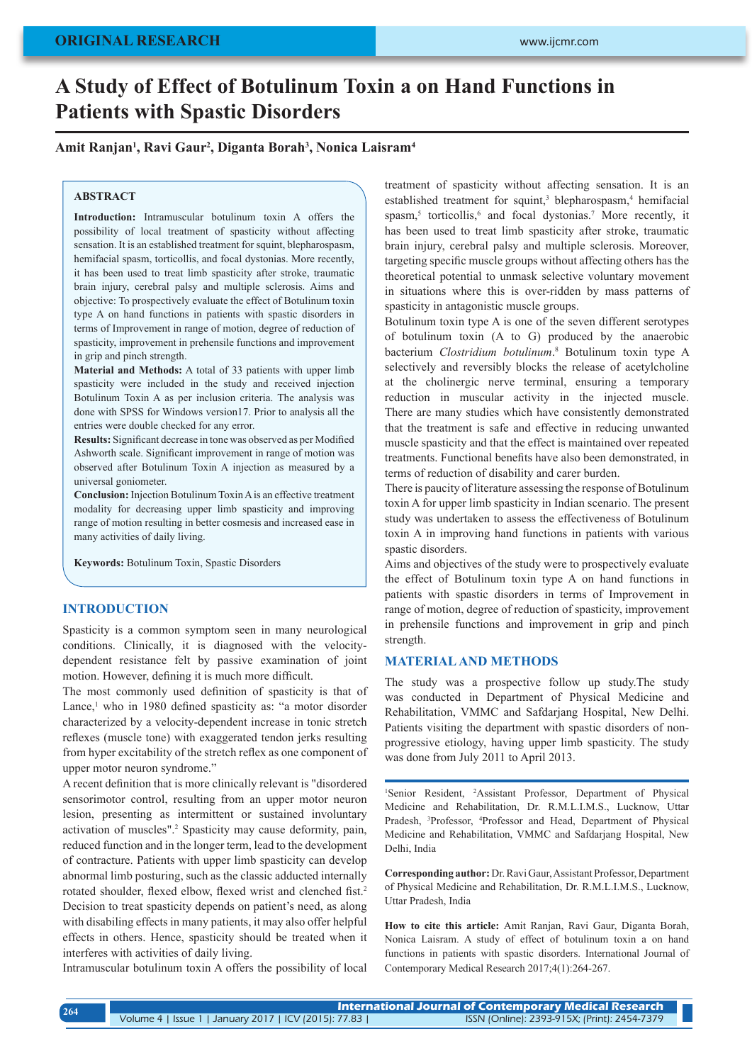# **A Study of Effect of Botulinum Toxin a on Hand Functions in Patients with Spastic Disorders**

## **Amit Ranjan1 , Ravi Gaur2 , Diganta Borah3 , Nonica Laisram4**

#### **ABSTRACT**

**Introduction:** Intramuscular botulinum toxin A offers the possibility of local treatment of spasticity without affecting sensation. It is an established treatment for squint, blepharospasm, hemifacial spasm, torticollis, and focal dystonias. More recently, it has been used to treat limb spasticity after stroke, traumatic brain injury, cerebral palsy and multiple sclerosis. Aims and objective: To prospectively evaluate the effect of Botulinum toxin type A on hand functions in patients with spastic disorders in terms of Improvement in range of motion, degree of reduction of spasticity, improvement in prehensile functions and improvement in grip and pinch strength.

**Material and Methods:** A total of 33 patients with upper limb spasticity were included in the study and received injection Botulinum Toxin A as per inclusion criteria. The analysis was done with SPSS for Windows version17. Prior to analysis all the entries were double checked for any error.

**Results:** Significant decrease in tone was observed as per Modified Ashworth scale. Significant improvement in range of motion was observed after Botulinum Toxin A injection as measured by a universal goniometer.

**Conclusion:** Injection Botulinum Toxin A is an effective treatment modality for decreasing upper limb spasticity and improving range of motion resulting in better cosmesis and increased ease in many activities of daily living.

**Keywords:** Botulinum Toxin, Spastic Disorders

## **INTRODUCTION**

Spasticity is a common symptom seen in many neurological conditions. Clinically, it is diagnosed with the velocitydependent resistance felt by passive examination of joint motion. However, defining it is much more difficult.

The most commonly used definition of spasticity is that of Lance,<sup>1</sup> who in 1980 defined spasticity as: "a motor disorder characterized by a velocity-dependent increase in tonic stretch reflexes (muscle tone) with exaggerated tendon jerks resulting from hyper excitability of the stretch reflex as one component of upper motor neuron syndrome."

A recent definition that is more clinically relevant is "disordered sensorimotor control, resulting from an upper motor neuron lesion, presenting as intermittent or sustained involuntary activation of muscles".<sup>2</sup> Spasticity may cause deformity, pain, reduced function and in the longer term, lead to the development of contracture. Patients with upper limb spasticity can develop abnormal limb posturing, such as the classic adducted internally rotated shoulder, flexed elbow, flexed wrist and clenched fist.<sup>2</sup> Decision to treat spasticity depends on patient's need, as along with disabiling effects in many patients, it may also offer helpful effects in others. Hence, spasticity should be treated when it interferes with activities of daily living.

Intramuscular botulinum toxin A offers the possibility of local

treatment of spasticity without affecting sensation. It is an established treatment for squint,<sup>3</sup> blepharospasm,<sup>4</sup> hemifacial spasm,<sup>5</sup> torticollis,<sup>6</sup> and focal dystonias.<sup>7</sup> More recently, it has been used to treat limb spasticity after stroke, traumatic brain injury, cerebral palsy and multiple sclerosis. Moreover, targeting specific muscle groups without affecting others has the theoretical potential to unmask selective voluntary movement in situations where this is over-ridden by mass patterns of spasticity in antagonistic muscle groups.

Botulinum toxin type A is one of the seven different serotypes of botulinum toxin (A to G) produced by the anaerobic bacterium *Clostridium botulinum*. 8 Botulinum toxin type A selectively and reversibly blocks the release of acetylcholine at the cholinergic nerve terminal, ensuring a temporary reduction in muscular activity in the injected muscle. There are many studies which have consistently demonstrated that the treatment is safe and effective in reducing unwanted muscle spasticity and that the effect is maintained over repeated treatments. Functional benefits have also been demonstrated, in terms of reduction of disability and carer burden.

There is paucity of literature assessing the response of Botulinum toxin A for upper limb spasticity in Indian scenario. The present study was undertaken to assess the effectiveness of Botulinum toxin A in improving hand functions in patients with various spastic disorders.

Aims and objectives of the study were to prospectively evaluate the effect of Botulinum toxin type A on hand functions in patients with spastic disorders in terms of Improvement in range of motion, degree of reduction of spasticity, improvement in prehensile functions and improvement in grip and pinch strength.

## **MATERIAL AND METHODS**

The study was a prospective follow up study.The study was conducted in Department of Physical Medicine and Rehabilitation, VMMC and Safdarjang Hospital, New Delhi. Patients visiting the department with spastic disorders of nonprogressive etiology, having upper limb spasticity. The study was done from July 2011 to April 2013.

<sup>1</sup>Senior Resident, <sup>2</sup>Assistant Professor, Department of Physical Medicine and Rehabilitation, Dr. R.M.L.I.M.S., Lucknow, Uttar Pradesh, <sup>3</sup>Professor, <sup>4</sup>Professor and Head, Department of Physical Medicine and Rehabilitation, VMMC and Safdarjang Hospital, New Delhi, India

**Corresponding author:** Dr. Ravi Gaur, Assistant Professor, Department of Physical Medicine and Rehabilitation, Dr. R.M.L.I.M.S., Lucknow, Uttar Pradesh, India

**How to cite this article:** Amit Ranjan, Ravi Gaur, Diganta Borah, Nonica Laisram. A study of effect of botulinum toxin a on hand functions in patients with spastic disorders. International Journal of Contemporary Medical Research 2017;4(1):264-267.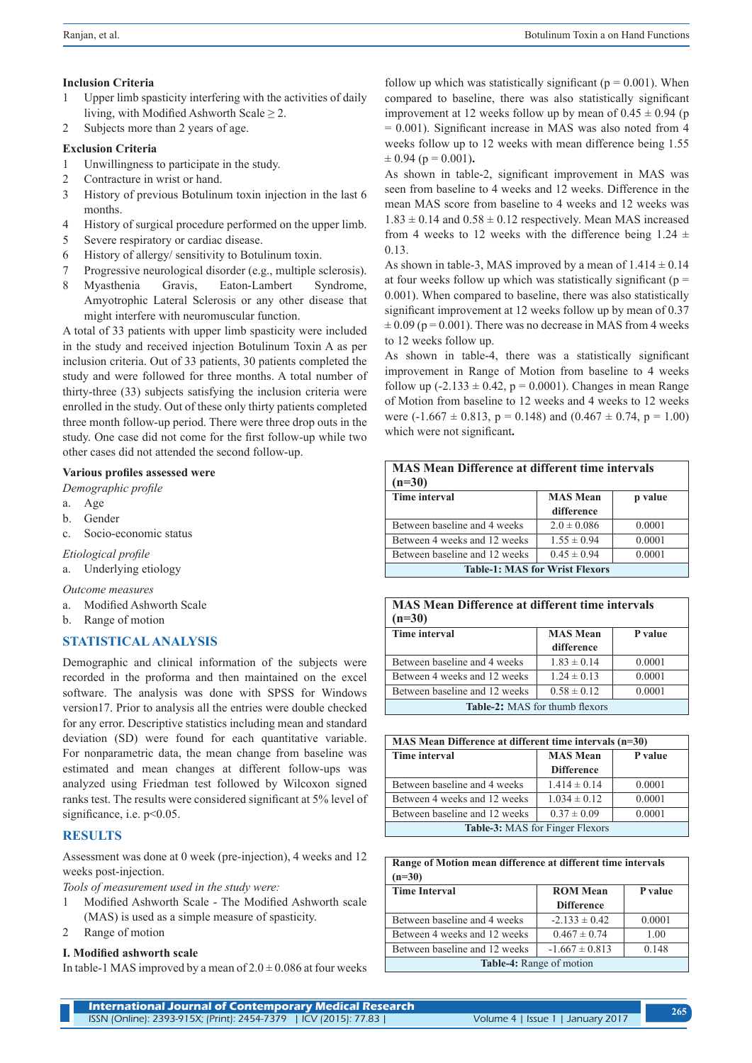## **Inclusion Criteria**

- 1 Upper limb spasticity interfering with the activities of daily living, with Modified Ashworth Scale  $\geq 2$ .
- 2 Subjects more than 2 years of age.

## **Exclusion Criteria**

- 1 Unwillingness to participate in the study.
- 2 Contracture in wrist or hand.
- 3 History of previous Botulinum toxin injection in the last 6 months.
- 4 History of surgical procedure performed on the upper limb.
- 5 Severe respiratory or cardiac disease.
- 6 History of allergy/ sensitivity to Botulinum toxin.
- 7 Progressive neurological disorder (e.g., multiple sclerosis).
- 8 Myasthenia Gravis, Eaton-Lambert Syndrome, Amyotrophic Lateral Sclerosis or any other disease that might interfere with neuromuscular function.

A total of 33 patients with upper limb spasticity were included in the study and received injection Botulinum Toxin A as per inclusion criteria. Out of 33 patients, 30 patients completed the study and were followed for three months. A total number of thirty-three (33) subjects satisfying the inclusion criteria were enrolled in the study. Out of these only thirty patients completed three month follow-up period. There were three drop outs in the study. One case did not come for the first follow-up while two other cases did not attended the second follow-up.

## **Various profiles assessed were**

*Demographic profile*

- a. Age
- b. Gender
- c. Socio-economic status

## *Etiological profile*

a. Underlying etiology

## *Outcome measures*

- a. Modified Ashworth Scale
- b. Range of motion

## **STATISTICAL ANALYSIS**

Demographic and clinical information of the subjects were recorded in the proforma and then maintained on the excel software. The analysis was done with SPSS for Windows version17. Prior to analysis all the entries were double checked for any error. Descriptive statistics including mean and standard deviation (SD) were found for each quantitative variable. For nonparametric data, the mean change from baseline was estimated and mean changes at different follow-ups was analyzed using Friedman test followed by Wilcoxon signed ranks test. The results were considered significant at 5% level of significance, i.e.  $p<0.05$ .

## **RESULTS**

Assessment was done at 0 week (pre-injection), 4 weeks and 12 weeks post-injection.

*Tools of measurement used in the study were:* 

- 1 Modified Ashworth Scale The Modified Ashworth scale (MAS) is used as a simple measure of spasticity.
- 2 Range of motion

## **I. Modified ashworth scale**

In table-1 MAS improved by a mean of  $2.0 \pm 0.086$  at four weeks

follow up which was statistically significant ( $p = 0.001$ ). When compared to baseline, there was also statistically significant improvement at 12 weeks follow up by mean of  $0.45 \pm 0.94$  (p = 0.001). Significant increase in MAS was also noted from 4 weeks follow up to 12 weeks with mean difference being 1.55  $\pm 0.94$  (p = 0.001).

As shown in table-2, significant improvement in MAS was seen from baseline to 4 weeks and 12 weeks. Difference in the mean MAS score from baseline to 4 weeks and 12 weeks was  $1.83 \pm 0.14$  and  $0.58 \pm 0.12$  respectively. Mean MAS increased from 4 weeks to 12 weeks with the difference being  $1.24 \pm$ 0.13.

As shown in table-3, MAS improved by a mean of  $1.414 \pm 0.14$ at four weeks follow up which was statistically significant ( $p =$ 0.001). When compared to baseline, there was also statistically significant improvement at 12 weeks follow up by mean of 0.37  $\pm 0.09$  (p = 0.001). There was no decrease in MAS from 4 weeks to 12 weeks follow up.

As shown in table-4, there was a statistically significant improvement in Range of Motion from baseline to 4 weeks follow up  $(-2.133 \pm 0.42, p = 0.0001)$ . Changes in mean Range of Motion from baseline to 12 weeks and 4 weeks to 12 weeks were  $(-1.667 \pm 0.813, p = 0.148)$  and  $(0.467 \pm 0.74, p = 1.00)$ which were not significant**.**

| <b>MAS Mean Difference at different time intervals</b><br>$(n=30)$ |                               |         |  |
|--------------------------------------------------------------------|-------------------------------|---------|--|
| <b>Time interval</b>                                               | <b>MAS</b> Mean<br>difference | p value |  |
| Between baseline and 4 weeks                                       | $2.0 \pm 0.086$               | 0.0001  |  |
| Between 4 weeks and 12 weeks                                       | $1.55 \pm 0.94$               | 0.0001  |  |
| Between baseline and 12 weeks                                      | $0.45 \pm 0.94$               | 0.0001  |  |
| <b>Table-1: MAS for Wrist Flexors</b>                              |                               |         |  |

| <b>MAS Mean Difference at different time intervals</b> |  |
|--------------------------------------------------------|--|
| $(n=30)$                                               |  |

| Time interval                  | <b>MAS</b> Mean<br>difference | P value |  |
|--------------------------------|-------------------------------|---------|--|
| Between baseline and 4 weeks   | $1.83 \pm 0.14$               | 0.0001  |  |
| Between 4 weeks and 12 weeks   | $1.24 \pm 0.13$               | 0.0001  |  |
| Between baseline and 12 weeks  | $0.58 \pm 0.12$               | 0.0001  |  |
| Table-2: MAS for thumb flexors |                               |         |  |

| $MAS$ Mean Difference at different time intervals $(n=30)$ |                                      |         |  |
|------------------------------------------------------------|--------------------------------------|---------|--|
| Time interval                                              | <b>MAS</b> Mean<br><b>Difference</b> | P value |  |
| Between baseline and 4 weeks                               | $1.414 \pm 0.14$                     | 0.0001  |  |
| Between 4 weeks and 12 weeks                               | $1.034 \pm 0.12$                     | 0.0001  |  |
| Between baseline and 12 weeks                              | $0.37 \pm 0.09$                      | 0.0001  |  |
| <b>Table-3:</b> MAS for Finger Flexors                     |                                      |         |  |

**Range of Motion mean difference at different time intervals (n=30)**

| <b>Time Interval</b>            | <b>ROM</b> Mean<br><b>Difference</b> | P value |  |
|---------------------------------|--------------------------------------|---------|--|
| Between baseline and 4 weeks    | $-2.133 \pm 0.42$                    | 0.0001  |  |
| Between 4 weeks and 12 weeks    | $0.467 \pm 0.74$                     | 1.00    |  |
| Between baseline and 12 weeks   | $-1.667 \pm 0.813$                   | 0.148   |  |
| <b>Table-4:</b> Range of motion |                                      |         |  |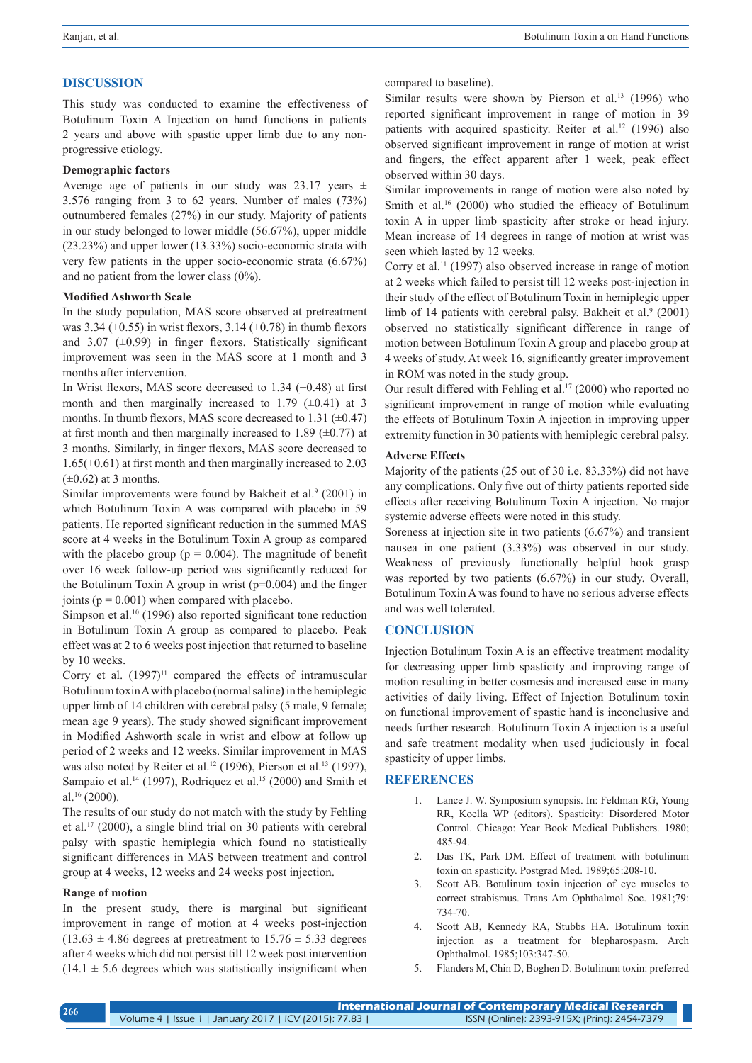## **DISCUSSION**

This study was conducted to examine the effectiveness of Botulinum Toxin A Injection on hand functions in patients 2 years and above with spastic upper limb due to any nonprogressive etiology.

## **Demographic factors**

Average age of patients in our study was  $23.17$  years  $\pm$ 3.576 ranging from 3 to 62 years. Number of males (73%) outnumbered females (27%) in our study. Majority of patients in our study belonged to lower middle (56.67%), upper middle (23.23%) and upper lower (13.33%) socio-economic strata with very few patients in the upper socio-economic strata (6.67%) and no patient from the lower class (0%).

## **Modified Ashworth Scale**

In the study population, MAS score observed at pretreatment was 3.34  $(\pm 0.55)$  in wrist flexors, 3.14  $(\pm 0.78)$  in thumb flexors and  $3.07$  ( $\pm 0.99$ ) in finger flexors. Statistically significant improvement was seen in the MAS score at 1 month and 3 months after intervention.

In Wrist flexors, MAS score decreased to 1.34  $(\pm 0.48)$  at first month and then marginally increased to 1.79  $(\pm 0.41)$  at 3 months. In thumb flexors, MAS score decreased to  $1.31$  ( $\pm$ 0.47) at first month and then marginally increased to 1.89  $(\pm 0.77)$  at 3 months. Similarly, in finger flexors, MAS score decreased to  $1.65(\pm 0.61)$  at first month and then marginally increased to 2.03  $(\pm 0.62)$  at 3 months.

Similar improvements were found by Bakheit et al.<sup>9</sup> (2001) in which Botulinum Toxin A was compared with placebo in 59 patients. He reported significant reduction in the summed MAS score at 4 weeks in the Botulinum Toxin A group as compared with the placebo group ( $p = 0.004$ ). The magnitude of benefit over 16 week follow-up period was significantly reduced for the Botulinum Toxin A group in wrist  $(p=0.004)$  and the finger joints ( $p = 0.001$ ) when compared with placebo.

Simpson et al.<sup>10</sup> (1996) also reported significant tone reduction in Botulinum Toxin A group as compared to placebo. Peak effect was at 2 to 6 weeks post injection that returned to baseline by 10 weeks.

Corry et al.  $(1997)^{11}$  compared the effects of intramuscular Botulinum toxin A with placebo (normal saline**)** in the hemiplegic upper limb of 14 children with cerebral palsy (5 male, 9 female; mean age 9 years). The study showed significant improvement in Modified Ashworth scale in wrist and elbow at follow up period of 2 weeks and 12 weeks. Similar improvement in MAS was also noted by Reiter et al.<sup>12</sup> (1996), Pierson et al.<sup>13</sup> (1997), Sampaio et al.<sup>14</sup> (1997), Rodriquez et al.<sup>15</sup> (2000) and Smith et al.16 (2000).

The results of our study do not match with the study by Fehling et al.17 (2000), a single blind trial on 30 patients with cerebral palsy with spastic hemiplegia which found no statistically significant differences in MAS between treatment and control group at 4 weeks, 12 weeks and 24 weeks post injection.

## **Range of motion**

In the present study, there is marginal but significant improvement in range of motion at 4 weeks post-injection  $(13.63 \pm 4.86$  degrees at pretreatment to  $15.76 \pm 5.33$  degrees after 4 weeks which did not persist till 12 week post intervention  $(14.1 \pm 5.6$  degrees which was statistically insignificant when compared to baseline).

Similar results were shown by Pierson et al.<sup>13</sup> (1996) who reported significant improvement in range of motion in 39 patients with acquired spasticity. Reiter et al.<sup>12</sup> (1996) also observed significant improvement in range of motion at wrist and fingers, the effect apparent after 1 week, peak effect observed within 30 days.

Similar improvements in range of motion were also noted by Smith et al.<sup>16</sup> (2000) who studied the efficacy of Botulinum toxin A in upper limb spasticity after stroke or head injury. Mean increase of 14 degrees in range of motion at wrist was seen which lasted by 12 weeks.

Corry et al.<sup>11</sup> (1997) also observed increase in range of motion at 2 weeks which failed to persist till 12 weeks post-injection in their study of the effect of Botulinum Toxin in hemiplegic upper limb of 14 patients with cerebral palsy. Bakheit et al.<sup>9</sup> (2001) observed no statistically significant difference in range of motion between Botulinum Toxin A group and placebo group at 4 weeks of study. At week 16, significantly greater improvement in ROM was noted in the study group.

Our result differed with Fehling et al.<sup>17</sup> (2000) who reported no significant improvement in range of motion while evaluating the effects of Botulinum Toxin A injection in improving upper extremity function in 30 patients with hemiplegic cerebral palsy.

## **Adverse Effects**

Majority of the patients (25 out of 30 i.e. 83.33%) did not have any complications. Only five out of thirty patients reported side effects after receiving Botulinum Toxin A injection. No major systemic adverse effects were noted in this study.

Soreness at injection site in two patients (6.67%) and transient nausea in one patient (3.33%) was observed in our study. Weakness of previously functionally helpful hook grasp was reported by two patients (6.67%) in our study. Overall, Botulinum Toxin A was found to have no serious adverse effects and was well tolerated.

## **CONCLUSION**

Injection Botulinum Toxin A is an effective treatment modality for decreasing upper limb spasticity and improving range of motion resulting in better cosmesis and increased ease in many activities of daily living. Effect of Injection Botulinum toxin on functional improvement of spastic hand is inconclusive and needs further research. Botulinum Toxin A injection is a useful and safe treatment modality when used judiciously in focal spasticity of upper limbs.

## **REFERENCES**

- 1. Lance J. W. Symposium synopsis. In: Feldman RG, Young RR, Koella WP (editors). Spasticity: Disordered Motor Control. Chicago: Year Book Medical Publishers. 1980; 485-94.
- 2. Das TK, Park DM. Effect of treatment with botulinum toxin on spasticity. Postgrad Med. 1989;65:208-10.
- 3. Scott AB. Botulinum toxin injection of eye muscles to correct strabismus. Trans Am Ophthalmol Soc. 1981;79: 734-70.
- 4. Scott AB, Kennedy RA, Stubbs HA. Botulinum toxin injection as a treatment for blepharospasm. Arch Ophthalmol. 1985;103:347-50.
- 5. Flanders M, Chin D, Boghen D. Botulinum toxin: preferred